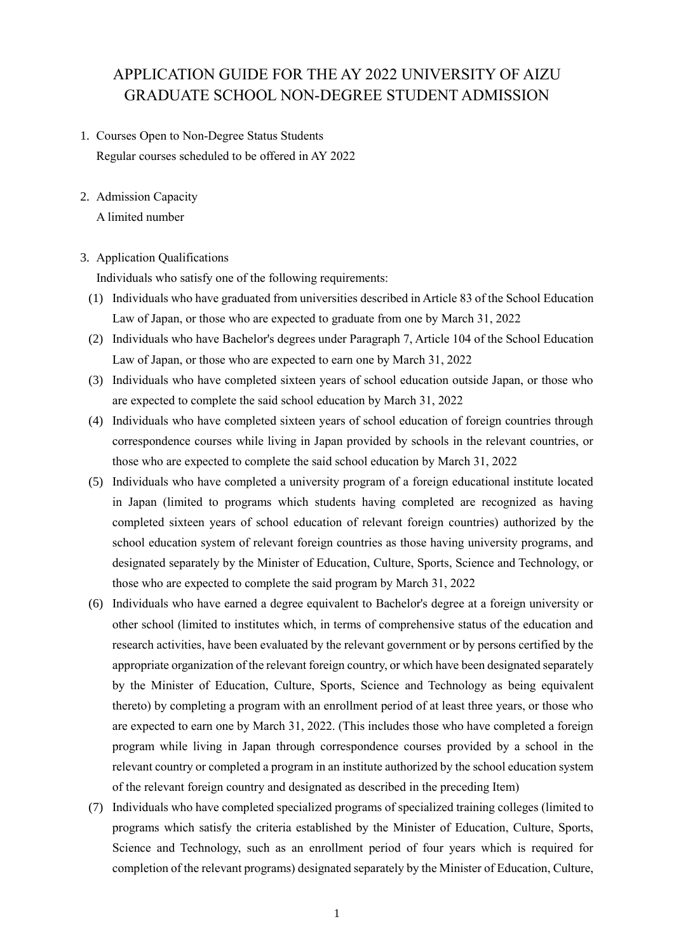# APPLICATION GUIDE FOR THE AY 2022 UNIVERSITY OF AIZU GRADUATE SCHOOL NON-DEGREE STUDENT ADMISSION

- 1. Courses Open to Non-Degree Status Students Regular courses scheduled to be offered in AY 2022
- 2. Admission Capacity

A limited number

## 3. Application Qualifications

Individuals who satisfy one of the following requirements:

- (1) Individuals who have graduated from universities described in Article 83 of the School Education Law of Japan, or those who are expected to graduate from one by March 31, 2022
- (2) Individuals who have Bachelor's degrees under Paragraph 7, Article 104 of the School Education Law of Japan, or those who are expected to earn one by March 31, 2022
- (3) Individuals who have completed sixteen years of school education outside Japan, or those who are expected to complete the said school education by March 31, 2022
- (4) Individuals who have completed sixteen years of school education of foreign countries through correspondence courses while living in Japan provided by schools in the relevant countries, or those who are expected to complete the said school education by March 31, 2022
- (5) Individuals who have completed a university program of a foreign educational institute located in Japan (limited to programs which students having completed are recognized as having completed sixteen years of school education of relevant foreign countries) authorized by the school education system of relevant foreign countries as those having university programs, and designated separately by the Minister of Education, Culture, Sports, Science and Technology, or those who are expected to complete the said program by March 31, 2022
- (6) Individuals who have earned a degree equivalent to Bachelor's degree at a foreign university or other school (limited to institutes which, in terms of comprehensive status of the education and research activities, have been evaluated by the relevant government or by persons certified by the appropriate organization of the relevant foreign country, or which have been designated separately by the Minister of Education, Culture, Sports, Science and Technology as being equivalent thereto) by completing a program with an enrollment period of at least three years, or those who are expected to earn one by March 31, 2022. (This includes those who have completed a foreign program while living in Japan through correspondence courses provided by a school in the relevant country or completed a program in an institute authorized by the school education system of the relevant foreign country and designated as described in the preceding Item)
- (7) Individuals who have completed specialized programs of specialized training colleges (limited to programs which satisfy the criteria established by the Minister of Education, Culture, Sports, Science and Technology, such as an enrollment period of four years which is required for completion of the relevant programs) designated separately by the Minister of Education, Culture,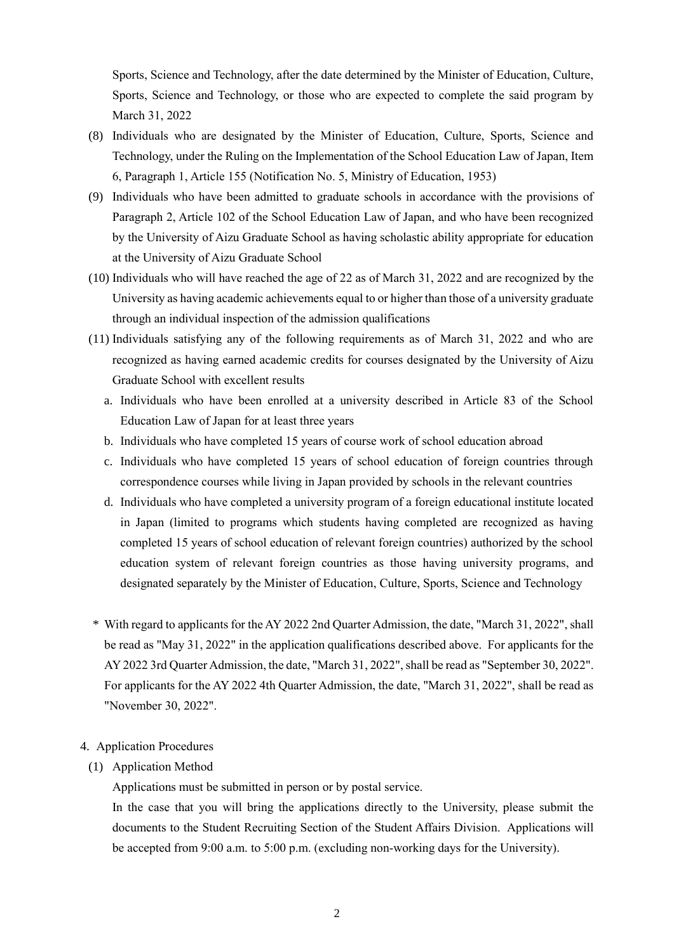Sports, Science and Technology, after the date determined by the Minister of Education, Culture, Sports, Science and Technology, or those who are expected to complete the said program by March 31, 2022

- (8) Individuals who are designated by the Minister of Education, Culture, Sports, Science and Technology, under the Ruling on the Implementation of the School Education Law of Japan, Item 6, Paragraph 1, Article 155 (Notification No. 5, Ministry of Education, 1953)
- (9) Individuals who have been admitted to graduate schools in accordance with the provisions of Paragraph 2, Article 102 of the School Education Law of Japan, and who have been recognized by the University of Aizu Graduate School as having scholastic ability appropriate for education at the University of Aizu Graduate School
- (10) Individuals who will have reached the age of 22 as of March 31, 2022 and are recognized by the University as having academic achievements equal to or higher than those of a university graduate through an individual inspection of the admission qualifications
- (11) Individuals satisfying any of the following requirements as of March 31, 2022 and who are recognized as having earned academic credits for courses designated by the University of Aizu Graduate School with excellent results
	- a. Individuals who have been enrolled at a university described in Article 83 of the School Education Law of Japan for at least three years
	- b. Individuals who have completed 15 years of course work of school education abroad
	- c. Individuals who have completed 15 years of school education of foreign countries through correspondence courses while living in Japan provided by schools in the relevant countries
	- d. Individuals who have completed a university program of a foreign educational institute located in Japan (limited to programs which students having completed are recognized as having completed 15 years of school education of relevant foreign countries) authorized by the school education system of relevant foreign countries as those having university programs, and designated separately by the Minister of Education, Culture, Sports, Science and Technology
- \* With regard to applicants for the AY 2022 2nd Quarter Admission, the date, "March 31, 2022", shall be read as "May 31, 2022" in the application qualifications described above. For applicants for the AY 2022 3rd Quarter Admission, the date, "March 31, 2022", shall be read as "September 30, 2022". For applicants for the AY 2022 4th Quarter Admission, the date, "March 31, 2022", shall be read as "November 30, 2022".

### 4. Application Procedures

(1) Application Method

Applications must be submitted in person or by postal service.

In the case that you will bring the applications directly to the University, please submit the documents to the Student Recruiting Section of the Student Affairs Division. Applications will be accepted from 9:00 a.m. to 5:00 p.m. (excluding non-working days for the University).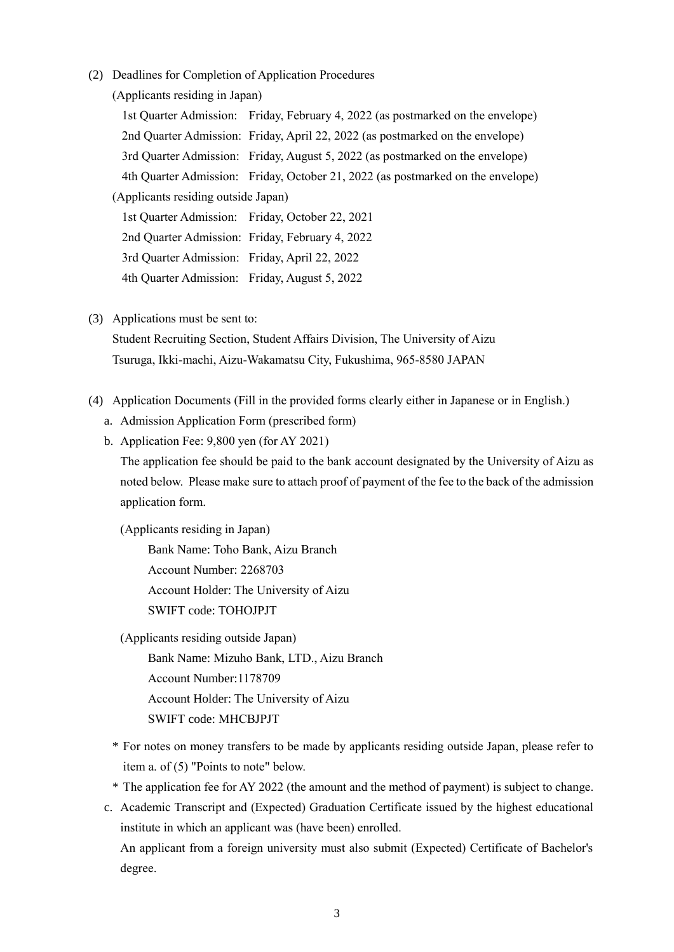(2) Deadlines for Completion of Application Procedures

(Applicants residing in Japan)

1st Quarter Admission: Friday, February 4, 2022 (as postmarked on the envelope) 2nd Quarter Admission: Friday, April 22, 2022 (as postmarked on the envelope) 3rd Quarter Admission: Friday, August 5, 2022 (as postmarked on the envelope) 4th Quarter Admission: Friday, October 21, 2022 (as postmarked on the envelope) (Applicants residing outside Japan) 1st Quarter Admission: Friday, October 22, 2021 2nd Quarter Admission: Friday, February 4, 2022 3rd Quarter Admission: Friday, April 22, 2022 4th Quarter Admission: Friday, August 5, 2022

(3) Applications must be sent to:

Student Recruiting Section, Student Affairs Division, The University of Aizu Tsuruga, Ikki-machi, Aizu-Wakamatsu City, Fukushima, 965-8580 JAPAN

- (4) Application Documents (Fill in the provided forms clearly either in Japanese or in English.)
	- a. Admission Application Form (prescribed form)
	- b. Application Fee: 9,800 yen (for AY 2021)

The application fee should be paid to the bank account designated by the University of Aizu as noted below. Please make sure to attach proof of payment of the fee to the back of the admission application form.

(Applicants residing in Japan)

Bank Name: Toho Bank, Aizu Branch Account Number: 2268703 Account Holder: The University of Aizu SWIFT code: TOHOJPJT

(Applicants residing outside Japan)

Bank Name: Mizuho Bank, LTD., Aizu Branch Account Number:1178709 Account Holder: The University of Aizu SWIFT code: MHCBJPJT

- \* For notes on money transfers to be made by applicants residing outside Japan, please refer to item a. of (5) "Points to note" below.
- \* The application fee for AY 2022 (the amount and the method of payment) is subject to change.

c. Academic Transcript and (Expected) Graduation Certificate issued by the highest educational institute in which an applicant was (have been) enrolled. An applicant from a foreign university must also submit (Expected) Certificate of Bachelor's degree.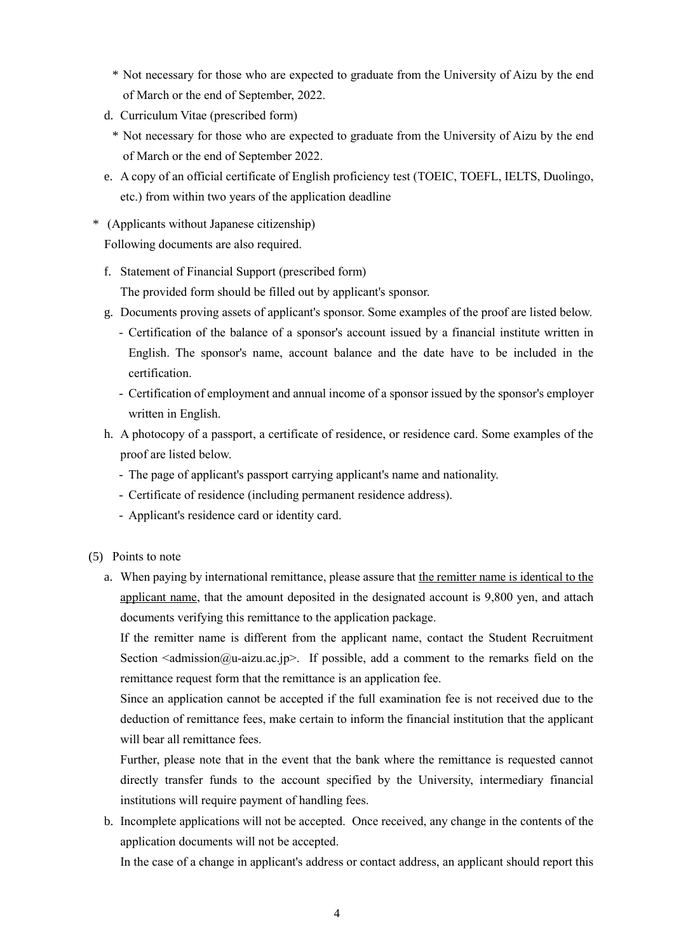- \* Not necessary for those who are expected to graduate from the University of Aizu by the end of March or the end of September, 2022.
- d. Curriculum Vitae (prescribed form)
	- \* Not necessary for those who are expected to graduate from the University of Aizu by the end of March or the end of September 2022.
- e. A copy of an official certificate of English proficiency test (TOEIC, TOEFL, IELTS, Duolingo, etc.) from within two years of the application deadline
- \* (Applicants without Japanese citizenship) Following documents are also required.
	- f. Statement of Financial Support (prescribed form) The provided form should be filled out by applicant's sponsor.
	- g. Documents proving assets of applicant's sponsor. Some examples of the proof are listed below.
		- Certification of the balance of a sponsor's account issued by a financial institute written in English. The sponsor's name, account balance and the date have to be included in the certification.
		- Certification of employment and annual income of a sponsor issued by the sponsor's employer written in English.
	- h. A photocopy of a passport, a certificate of residence, or residence card. Some examples of the proof are listed below.
		- The page of applicant's passport carrying applicant's name and nationality.
		- Certificate of residence (including permanent residence address).
		- Applicant's residence card or identity card.
- (5) Points to note
	- a. When paying by international remittance, please assure that the remitter name is identical to the applicant name, that the amount deposited in the designated account is 9,800 yen, and attach documents verifying this remittance to the application package.

If the remitter name is different from the applicant name, contact the Student Recruitment Section  $\leq$  admission  $\omega$ -aizu.ac.jp>. If possible, add a comment to the remarks field on the remittance request form that the remittance is an application fee.

Since an application cannot be accepted if the full examination fee is not received due to the deduction of remittance fees, make certain to inform the financial institution that the applicant will bear all remittance fees.

Further, please note that in the event that the bank where the remittance is requested cannot directly transfer funds to the account specified by the University, intermediary financial institutions will require payment of handling fees.

b. Incomplete applications will not be accepted. Once received, any change in the contents of the application documents will not be accepted.

In the case of a change in applicant's address or contact address, an applicant should report this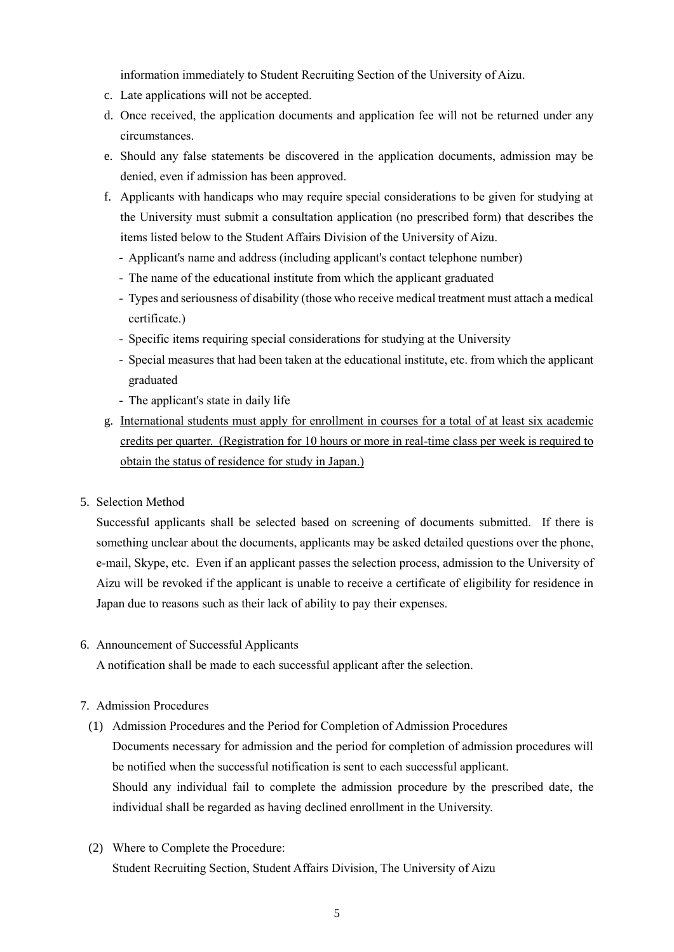information immediately to Student Recruiting Section of the University of Aizu.

- c. Late applications will not be accepted.
- d. Once received, the application documents and application fee will not be returned under any circumstances.
- e. Should any false statements be discovered in the application documents, admission may be denied, even if admission has been approved.
- f. Applicants with handicaps who may require special considerations to be given for studying at the University must submit a consultation application (no prescribed form) that describes the items listed below to the Student Affairs Division of the University of Aizu.
	- Applicant's name and address (including applicant's contact telephone number)
	- The name of the educational institute from which the applicant graduated
	- Types and seriousness of disability (those who receive medical treatment must attach a medical certificate.)
	- Specific items requiring special considerations for studying at the University
	- Special measures that had been taken at the educational institute, etc. from which the applicant graduated
	- The applicant's state in daily life
- g. International students must apply for enrollment in courses for a total of at least six academic credits per quarter. (Registration for 10 hours or more in real-time class per week is required to obtain the status of residence for study in Japan.)
- 5. Selection Method

Successful applicants shall be selected based on screening of documents submitted. If there is something unclear about the documents, applicants may be asked detailed questions over the phone, e-mail, Skype, etc. Even if an applicant passes the selection process, admission to the University of Aizu will be revoked if the applicant is unable to receive a certificate of eligibility for residence in Japan due to reasons such as their lack of ability to pay their expenses.

6. Announcement of Successful Applicants

A notification shall be made to each successful applicant after the selection.

## 7. Admission Procedures

- (1) Admission Procedures and the Period for Completion of Admission Procedures Documents necessary for admission and the period for completion of admission procedures will be notified when the successful notification is sent to each successful applicant. Should any individual fail to complete the admission procedure by the prescribed date, the individual shall be regarded as having declined enrollment in the University.
- (2) Where to Complete the Procedure: Student Recruiting Section, Student Affairs Division, The University of Aizu